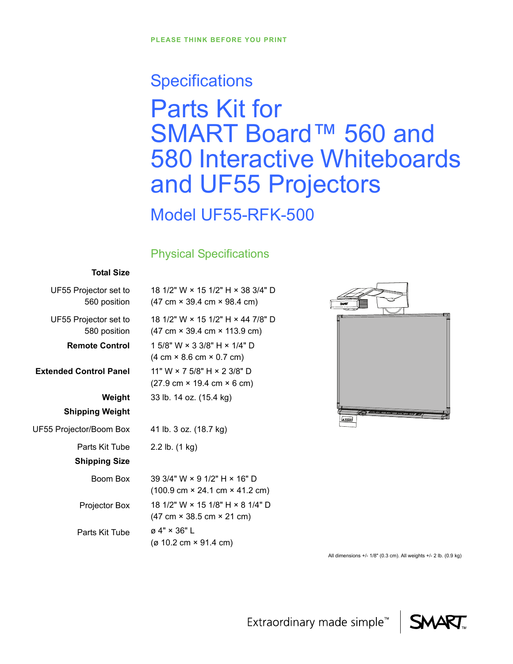# **Specifications** Parts Kit for SMART Board™ 560 and 580 Interactive Whiteboards and UF55 Projectors

Model UF55-RFK-500

# Physical Specifications

#### **Total Size**

| UF55 Projector set to                 | 18 1/2" W × 15 1/2" H × 38 3/4" D                                                                     |
|---------------------------------------|-------------------------------------------------------------------------------------------------------|
| 560 position                          | $(47 \text{ cm} \times 39.4 \text{ cm} \times 98.4 \text{ cm})$                                       |
| UF55 Projector set to<br>580 position | 18 1/2" W × 15 1/2" H × 44 7/8" D<br>$(47 \text{ cm} \times 39.4 \text{ cm} \times 113.9 \text{ cm})$ |
| <b>Remote Control</b>                 | 1 5/8" W $\times$ 3 3/8" H $\times$ 1/4" D                                                            |
|                                       | $(4 \text{ cm} \times 8.6 \text{ cm} \times 0.7 \text{ cm})$                                          |
| <b>Extended Control Panel</b>         | 11" W $\times$ 7 5/8" H $\times$ 2 3/8" D                                                             |
|                                       | $(27.9 \text{ cm} \times 19.4 \text{ cm} \times 6 \text{ cm})$                                        |
| Weight                                | 33 lb. 14 oz. (15.4 kg)                                                                               |
| <b>Shipping Weight</b>                |                                                                                                       |
| UF55 Projector/Boom Box               | 41 lb. 3 oz. (18.7 kg)                                                                                |
| Parts Kit Tube                        | 2.2 lb. (1 kg)                                                                                        |
| <b>Shipping Size</b>                  |                                                                                                       |
| Boom Box                              | 39 3/4" W $\times$ 9 1/2" H $\times$ 16" D                                                            |
|                                       | $(100.9 \text{ cm} \times 24.1 \text{ cm} \times 41.2 \text{ cm})$                                    |
| Projector Box                         | 18 1/2" W × 15 1/8" H × 8 1/4" D<br>$(47 \text{ cm} \times 38.5 \text{ cm} \times 21 \text{ cm})$     |
| Parts Kit Tube                        | $\varnothing$ 4" $\times$ 36" L<br>(ø 10.2 cm $\times$ 91.4 cm)                                       |
|                                       |                                                                                                       |



All dimensions +/- 1/8" (0.3 cm). All weights +/- 2 lb. (0.9 kg)

Extraordinary made simple<sup>™</sup>

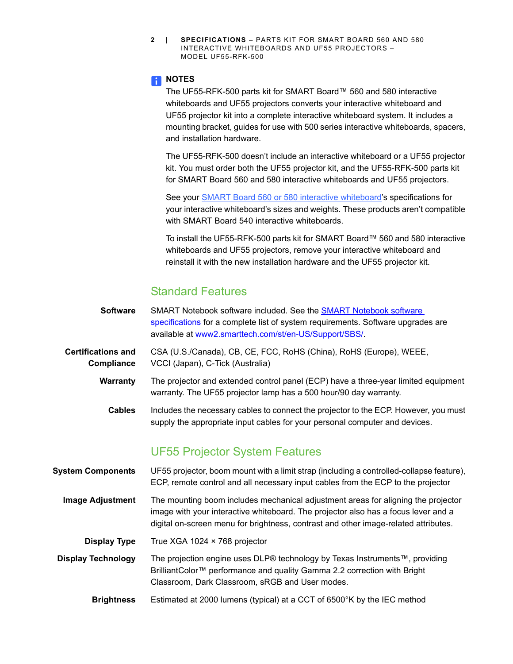**2 | SPECIFICATIONS** – PARTS KIT FOR SMART BOARD 560 AND 580 INTERACTIVE WHITEBOARDS AND UF55 PROJECTORS – MODEL UF55-RFK-500

#### **NOTES**

The UF55-RFK-500 parts kit for SMART Board™ 560 and 580 interactive whiteboards and UF55 projectors converts your interactive whiteboard and UF55 projector kit into a complete interactive whiteboard system. It includes a mounting bracket, guides for use with 500 series interactive whiteboards, spacers, and installation hardware.

The UF55-RFK-500 doesn't include an interactive whiteboard or a UF55 projector kit. You must order both the UF55 projector kit, and the UF55-RFK-500 parts kit for SMART Board 560 and 580 interactive whiteboards and UF55 projectors.

See your **[SMART Board 560 or 580 interactive whiteboard'](http://www2.smarttech.com/kbdoc/151)s specifications for** your interactive whiteboard's sizes and weights. These products aren't compatible with SMART Board 540 interactive whiteboards.

To install the UF55-RFK-500 parts kit for SMART Board™ 560 and 580 interactive whiteboards and UF55 projectors, remove your interactive whiteboard and reinstall it with the new installation hardware and the UF55 projector kit.

## Standard Features

- **Software** [SMART Notebook software](http://www2.smarttech.com/kbdoc/128254) included. See the **SMART Notebook software** [specifications](http://www2.smarttech.com/kbdoc/128254) for a complete list of system requirements. Software upgrades are available at [www2.smarttech.com/st/en-US/Support/SBS/.](http://www2.smarttech.com/st/en-US/Support/SBS/)
- **Certifications and Compliance** CSA (U.S./Canada), CB, CE, FCC, RoHS (China), RoHS (Europe), WEEE, VCCI (Japan), C-Tick (Australia)
	- **Warranty** The projector and extended control panel (ECP) have a three-year limited equipment warranty. The UF55 projector lamp has a 500 hour/90 day warranty.
		- **Cables** Includes the necessary cables to connect the projector to the ECP. However, you must supply the appropriate input cables for your personal computer and devices.

## UF55 Projector System Features

**System Components** UF55 projector, boom mount with a limit strap (including a controlled-collapse feature), ECP, remote control and all necessary input cables from the ECP to the projector **Image Adjustment** The mounting boom includes mechanical adjustment areas for aligning the projector image with your interactive whiteboard. The projector also has a focus lever and a digital on-screen menu for brightness, contrast and other image-related attributes. **Display Type** True XGA 1024 × 768 projector **Display Technology** The projection engine uses DLP® technology by Texas Instruments™, providing BrilliantColor™ performance and quality Gamma 2.2 correction with Bright Classroom, Dark Classroom, sRGB and User modes. **Brightness** Estimated at 2000 lumens (typical) at a CCT of 6500°K by the IEC method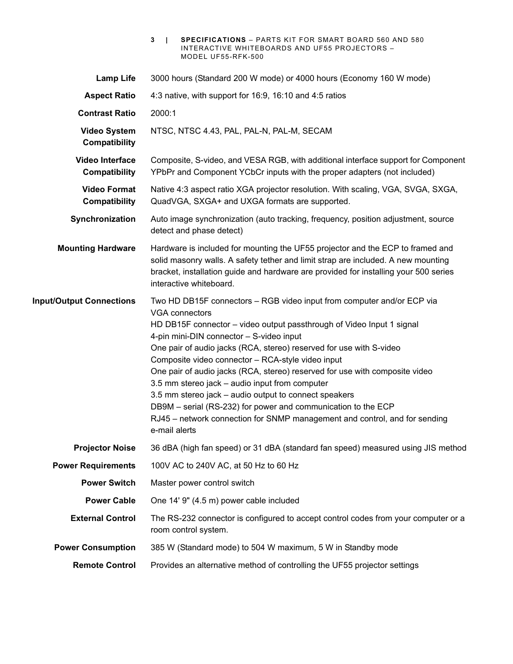|                                         | 3<br><b>SPECIFICATIONS</b> - PARTS KIT FOR SMART BOARD 560 AND 580<br>INTERACTIVE WHITEBOARDS AND UF55 PROJECTORS -<br>MODEL UF55-RFK-500                                                                                                                                                                                                                                                                                                                                                                                                                                                                                                                                                                  |  |
|-----------------------------------------|------------------------------------------------------------------------------------------------------------------------------------------------------------------------------------------------------------------------------------------------------------------------------------------------------------------------------------------------------------------------------------------------------------------------------------------------------------------------------------------------------------------------------------------------------------------------------------------------------------------------------------------------------------------------------------------------------------|--|
| <b>Lamp Life</b>                        | 3000 hours (Standard 200 W mode) or 4000 hours (Economy 160 W mode)                                                                                                                                                                                                                                                                                                                                                                                                                                                                                                                                                                                                                                        |  |
| <b>Aspect Ratio</b>                     | 4:3 native, with support for 16:9, 16:10 and 4:5 ratios                                                                                                                                                                                                                                                                                                                                                                                                                                                                                                                                                                                                                                                    |  |
| <b>Contrast Ratio</b>                   | 2000:1                                                                                                                                                                                                                                                                                                                                                                                                                                                                                                                                                                                                                                                                                                     |  |
| <b>Video System</b><br>Compatibility    | NTSC, NTSC 4.43, PAL, PAL-N, PAL-M, SECAM                                                                                                                                                                                                                                                                                                                                                                                                                                                                                                                                                                                                                                                                  |  |
| <b>Video Interface</b><br>Compatibility | Composite, S-video, and VESA RGB, with additional interface support for Component<br>YPbPr and Component YCbCr inputs with the proper adapters (not included)                                                                                                                                                                                                                                                                                                                                                                                                                                                                                                                                              |  |
| <b>Video Format</b><br>Compatibility    | Native 4:3 aspect ratio XGA projector resolution. With scaling, VGA, SVGA, SXGA,<br>QuadVGA, SXGA+ and UXGA formats are supported.                                                                                                                                                                                                                                                                                                                                                                                                                                                                                                                                                                         |  |
| Synchronization                         | Auto image synchronization (auto tracking, frequency, position adjustment, source<br>detect and phase detect)                                                                                                                                                                                                                                                                                                                                                                                                                                                                                                                                                                                              |  |
| <b>Mounting Hardware</b>                | Hardware is included for mounting the UF55 projector and the ECP to framed and<br>solid masonry walls. A safety tether and limit strap are included. A new mounting<br>bracket, installation guide and hardware are provided for installing your 500 series<br>interactive whiteboard.                                                                                                                                                                                                                                                                                                                                                                                                                     |  |
| <b>Input/Output Connections</b>         | Two HD DB15F connectors - RGB video input from computer and/or ECP via<br><b>VGA connectors</b><br>HD DB15F connector - video output passthrough of Video Input 1 signal<br>4-pin mini-DIN connector - S-video input<br>One pair of audio jacks (RCA, stereo) reserved for use with S-video<br>Composite video connector - RCA-style video input<br>One pair of audio jacks (RCA, stereo) reserved for use with composite video<br>3.5 mm stereo jack - audio input from computer<br>3.5 mm stereo jack – audio output to connect speakers<br>DB9M - serial (RS-232) for power and communication to the ECP<br>RJ45 - network connection for SNMP management and control, and for sending<br>e-mail alerts |  |
| <b>Projector Noise</b>                  | 36 dBA (high fan speed) or 31 dBA (standard fan speed) measured using JIS method                                                                                                                                                                                                                                                                                                                                                                                                                                                                                                                                                                                                                           |  |
| <b>Power Requirements</b>               | 100V AC to 240V AC, at 50 Hz to 60 Hz                                                                                                                                                                                                                                                                                                                                                                                                                                                                                                                                                                                                                                                                      |  |
| <b>Power Switch</b>                     | Master power control switch                                                                                                                                                                                                                                                                                                                                                                                                                                                                                                                                                                                                                                                                                |  |
| <b>Power Cable</b>                      | One 14' 9" (4.5 m) power cable included                                                                                                                                                                                                                                                                                                                                                                                                                                                                                                                                                                                                                                                                    |  |
| <b>External Control</b>                 | The RS-232 connector is configured to accept control codes from your computer or a<br>room control system.                                                                                                                                                                                                                                                                                                                                                                                                                                                                                                                                                                                                 |  |
| <b>Power Consumption</b>                | 385 W (Standard mode) to 504 W maximum, 5 W in Standby mode                                                                                                                                                                                                                                                                                                                                                                                                                                                                                                                                                                                                                                                |  |
| <b>Remote Control</b>                   | Provides an alternative method of controlling the UF55 projector settings                                                                                                                                                                                                                                                                                                                                                                                                                                                                                                                                                                                                                                  |  |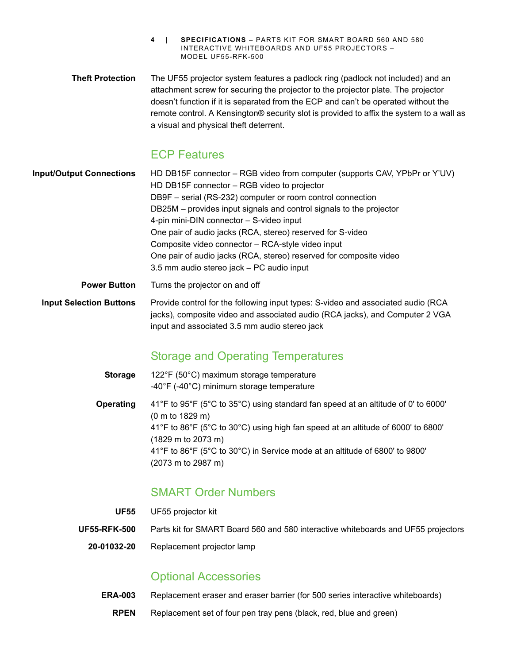- **4 | SPECIFICATIONS** PARTS KIT FOR SMART BOARD 560 AND 580 INTERACTIVE WHITEBOARDS AND UF55 PROJECTORS – MODEL UF55-RFK-500
- **Theft Protection** The UF55 projector system features a padlock ring (padlock not included) and an attachment screw for securing the projector to the projector plate. The projector doesn't function if it is separated from the ECP and can't be operated without the remote control. A Kensington® security slot is provided to affix the system to a wall as a visual and physical theft deterrent.

### ECP Features

- **Input/Output Connections** HD DB15F connector RGB video from computer (supports CAV, YPbPr or Y'UV) HD DB15F connector – RGB video to projector DB9F – serial (RS-232) computer or room control connection DB25M – provides input signals and control signals to the projector 4-pin mini-DIN connector – S-video input One pair of audio jacks (RCA, stereo) reserved for S-video Composite video connector – RCA-style video input One pair of audio jacks (RCA, stereo) reserved for composite video 3.5 mm audio stereo jack – PC audio input **Power Button** Turns the projector on and off
	- **Input Selection Buttons** Provide control for the following input types: S-video and associated audio (RCA jacks), composite video and associated audio (RCA jacks), and Computer 2 VGA input and associated 3.5 mm audio stereo jack

# Storage and Operating Temperatures

**Storage** 122°F (50°C) maximum storage temperature -40°F (-40°C) minimum storage temperature **Operating** 41°F to 95°F (5°C to 35°C) using standard fan speed at an altitude of 0' to 6000' (0 m to 1829 m) 41°F to 86°F (5°C to 30°C) using high fan speed at an altitude of 6000' to 6800' (1829 m to 2073 m) 41°F to 86°F (5°C to 30°C) in Service mode at an altitude of 6800' to 9800' (2073 m to 2987 m)

## SMART Order Numbers

- **UF55** UF55 projector kit
- **UF55-RFK-500** Parts kit for SMART Board 560 and 580 interactive whiteboards and UF55 projectors
	- **20-01032-20** Replacement projector lamp

### Optional Accessories

- **ERA-003** Replacement eraser and eraser barrier (for 500 series interactive whiteboards)
	- **RPEN** Replacement set of four pen tray pens (black, red, blue and green)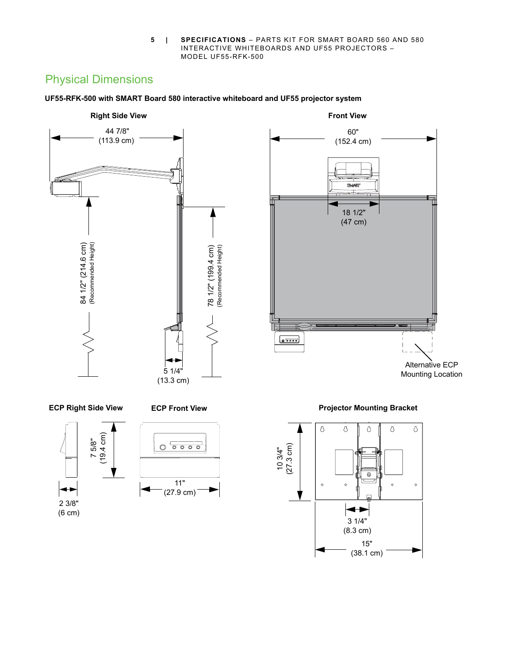**5 | SPECIFICATIONS** – PARTS KIT FOR SMART BOARD 560 AND 580 INTERACTIVE WHITEBOARDS AND UF55 PROJECTORS – MODEL UF55-RFK-500

# Physical Dimensions





2 3/8" (6 cm)

Alternative ECP Mounting Location



60"

18 1/2" (47 cm)